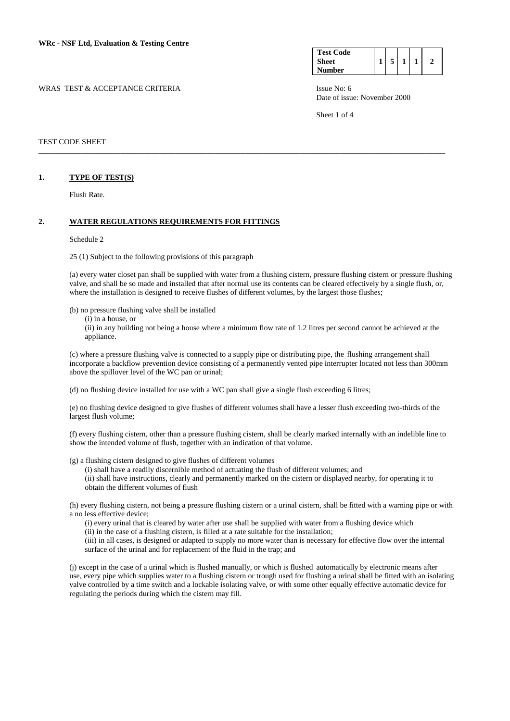| <b>Test Code</b> |  |  |  |
|------------------|--|--|--|
| <b>Sheet</b>     |  |  |  |
| <b>Number</b>    |  |  |  |

WRAS TEST & ACCEPTANCE CRITERIA **ISSUE NO: 6** ISSUE No: 6 Date of issue: November 2000

Sheet 1 of 4

#### TEST CODE SHEET

#### **1. TYPE OF TEST(S)**

Flush Rate.

# **2. WATER REGULATIONS REQUIREMENTS FOR FITTINGS**

#### Schedule 2

25 (1) Subject to the following provisions of this paragraph

(a) every water closet pan shall be supplied with water from a flushing cistern, pressure flushing cistern or pressure flushing valve, and shall be so made and installed that after normal use its contents can be cleared effectively by a single flush, or, where the installation is designed to receive flushes of different volumes, by the largest those flushes;

\_\_\_\_\_\_\_\_\_\_\_\_\_\_\_\_\_\_\_\_\_\_\_\_\_\_\_\_\_\_\_\_\_\_\_\_\_\_\_\_\_\_\_\_\_\_\_\_\_\_\_\_\_\_\_\_\_\_\_\_\_\_\_\_\_\_\_\_\_\_\_\_\_\_\_\_\_\_\_\_\_\_\_\_\_\_\_\_\_\_\_\_\_\_\_\_\_\_\_\_\_\_\_\_

(b) no pressure flushing valve shall be installed

(i) in a house, or

 (ii) in any building not being a house where a minimum flow rate of 1.2 litres per second cannot be achieved at the appliance.

 (c) where a pressure flushing valve is connected to a supply pipe or distributing pipe, the flushing arrangement shall incorporate a backflow prevention device consisting of a permanently vented pipe interrupter located not less than 300mm above the spillover level of the WC pan or urinal;

(d) no flushing device installed for use with a WC pan shall give a single flush exceeding 6 litres;

(e) no flushing device designed to give flushes of different volumes shall have a lesser flush exceeding two-thirds of the largest flush volume;

(f) every flushing cistern, other than a pressure flushing cistern, shall be clearly marked internally with an indelible line to show the intended volume of flush, together with an indication of that volume.

(g) a flushing cistern designed to give flushes of different volumes

 (i) shall have a readily discernible method of actuating the flush of different volumes; and (ii) shall have instructions, clearly and permanently marked on the cistern or displayed nearby, for operating it to obtain the different volumes of flush

(h) every flushing cistern, not being a pressure flushing cistern or a urinal cistern, shall be fitted with a warning pipe or with a no less effective device;

(i) every urinal that is cleared by water after use shall be supplied with water from a flushing device which

(ii) in the case of a flushing cistern, is filled at a rate suitable for the installation;

(iii) in all cases, is designed or adapted to supply no more water than is necessary for effective flow over the internal surface of the urinal and for replacement of the fluid in the trap; and

(j) except in the case of a urinal which is flushed manually, or which is flushed automatically by electronic means after use, every pipe which supplies water to a flushing cistern or trough used for flushing a urinal shall be fitted with an isolating valve controlled by a time switch and a lockable isolating valve, or with some other equally effective automatic device for regulating the periods during which the cistern may fill.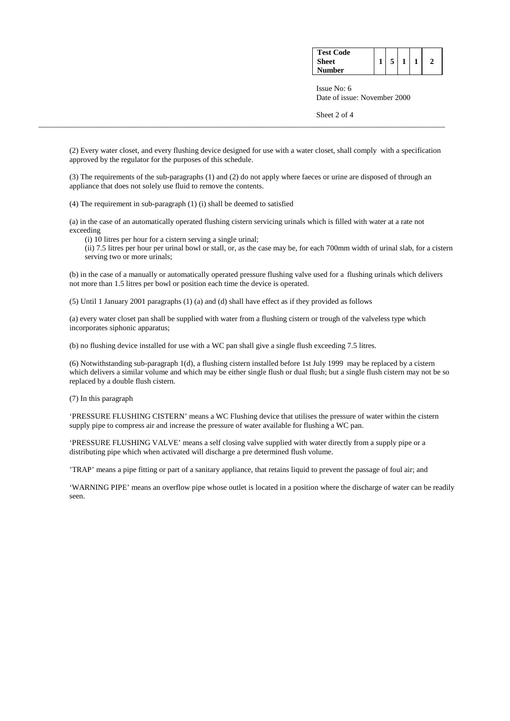| <b>Test Code</b><br><b>Sheet</b><br><b>Number</b> |  |  |  |  |  |
|---------------------------------------------------|--|--|--|--|--|
|---------------------------------------------------|--|--|--|--|--|

 Issue No: 6 Date of issue: November 2000

Sheet 2 of 4

(2) Every water closet, and every flushing device designed for use with a water closet, shall comply with a specification approved by the regulator for the purposes of this schedule.

\_\_\_\_\_\_\_\_\_\_\_\_\_\_\_\_\_\_\_\_\_\_\_\_\_\_\_\_\_\_\_\_\_\_\_\_\_\_\_\_\_\_\_\_\_\_\_\_\_\_\_\_\_\_\_\_\_\_\_\_\_\_\_\_\_\_\_\_\_\_\_\_\_\_\_\_\_\_\_\_\_\_\_\_\_\_\_\_\_\_\_\_\_\_\_\_\_\_\_\_\_\_\_\_

(3) The requirements of the sub-paragraphs (1) and (2) do not apply where faeces or urine are disposed of through an appliance that does not solely use fluid to remove the contents.

(4) The requirement in sub-paragraph (1) (i) shall be deemed to satisfied

(a) in the case of an automatically operated flushing cistern servicing urinals which is filled with water at a rate not exceeding

(i) 10 litres per hour for a cistern serving a single urinal;

 (ii) 7.5 litres per hour per urinal bowl or stall, or, as the case may be, for each 700mm width of urinal slab, for a cistern serving two or more urinals;

(b) in the case of a manually or automatically operated pressure flushing valve used for a flushing urinals which delivers not more than 1.5 litres per bowl or position each time the device is operated.

(5) Until 1 January 2001 paragraphs (1) (a) and (d) shall have effect as if they provided as follows

(a) every water closet pan shall be supplied with water from a flushing cistern or trough of the valveless type which incorporates siphonic apparatus;

(b) no flushing device installed for use with a WC pan shall give a single flush exceeding 7.5 litres.

(6) Notwithstanding sub-paragraph 1(d), a flushing cistern installed before 1st July 1999 may be replaced by a cistern which delivers a similar volume and which may be either single flush or dual flush; but a single flush cistern may not be so replaced by a double flush cistern.

(7) In this paragraph

'PRESSURE FLUSHING CISTERN' means a WC Flushing device that utilises the pressure of water within the cistern supply pipe to compress air and increase the pressure of water available for flushing a WC pan.

'PRESSURE FLUSHING VALVE' means a self closing valve supplied with water directly from a supply pipe or a distributing pipe which when activated will discharge a pre determined flush volume.

'TRAP' means a pipe fitting or part of a sanitary appliance, that retains liquid to prevent the passage of foul air; and

'WARNING PIPE' means an overflow pipe whose outlet is located in a position where the discharge of water can be readily seen.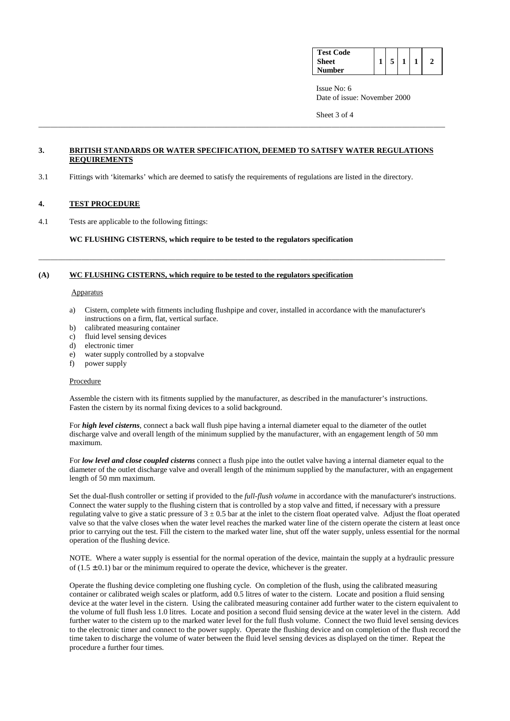| <b>Test Code</b><br><b>Sheet</b><br>Number |  |  |  |  |  |
|--------------------------------------------|--|--|--|--|--|
|--------------------------------------------|--|--|--|--|--|

 Issue No: 6 Date of issue: November 2000

Sheet 3 of 4

## **3. BRITISH STANDARDS OR WATER SPECIFICATION, DEEMED TO SATISFY WATER REGULATIONS REQUIREMENTS**

\_\_\_\_\_\_\_\_\_\_\_\_\_\_\_\_\_\_\_\_\_\_\_\_\_\_\_\_\_\_\_\_\_\_\_\_\_\_\_\_\_\_\_\_\_\_\_\_\_\_\_\_\_\_\_\_\_\_\_\_\_\_\_\_\_\_\_\_\_\_\_\_\_\_\_\_\_\_\_\_\_\_\_\_\_\_\_\_\_\_\_\_\_\_\_\_\_\_\_\_\_\_\_\_

3.1 Fittings with 'kitemarks' which are deemed to satisfy the requirements of regulations are listed in the directory.

# **4. TEST PROCEDURE**

4.1 Tests are applicable to the following fittings:

**WC FLUSHING CISTERNS, which require to be tested to the regulators specification** 

## **(A) WC FLUSHING CISTERNS, which require to be tested to the regulators specification**

#### **Apparatus**

a) Cistern, complete with fitments including flushpipe and cover, installed in accordance with the manufacturer's instructions on a firm, flat, vertical surface.

\_\_\_\_\_\_\_\_\_\_\_\_\_\_\_\_\_\_\_\_\_\_\_\_\_\_\_\_\_\_\_\_\_\_\_\_\_\_\_\_\_\_\_\_\_\_\_\_\_\_\_\_\_\_\_\_\_\_\_\_\_\_\_\_\_\_\_\_\_\_\_\_\_\_\_\_\_\_\_\_\_\_\_\_\_\_\_\_\_\_\_\_\_\_\_\_\_\_\_\_\_\_\_\_

- b) calibrated measuring container
- c) fluid level sensing devices
- d) electronic timer
- e) water supply controlled by a stopvalve
- f) power supply

## Procedure

Assemble the cistern with its fitments supplied by the manufacturer, as described in the manufacturer's instructions. Fasten the cistern by its normal fixing devices to a solid background.

For *high level cisterns*, connect a back wall flush pipe having a internal diameter equal to the diameter of the outlet discharge valve and overall length of the minimum supplied by the manufacturer, with an engagement length of 50 mm maximum.

For *low level and close coupled cisterns* connect a flush pipe into the outlet valve having a internal diameter equal to the diameter of the outlet discharge valve and overall length of the minimum supplied by the manufacturer, with an engagement length of 50 mm maximum.

Set the dual-flush controller or setting if provided to the *full-flush volume* in accordance with the manufacturer's instructions. Connect the water supply to the flushing cistern that is controlled by a stop valve and fitted, if necessary with a pressure regulating valve to give a static pressure of  $3 \pm 0.5$  bar at the inlet to the cistern float operated valve. Adjust the float operated valve so that the valve closes when the water level reaches the marked water line of the cistern operate the cistern at least once prior to carrying out the test. Fill the cistern to the marked water line, shut off the water supply, unless essential for the normal operation of the flushing device.

NOTE. Where a water supply is essential for the normal operation of the device, maintain the supply at a hydraulic pressure of  $(1.5 \pm 0.1)$  bar or the minimum required to operate the device, whichever is the greater.

Operate the flushing device completing one flushing cycle. On completion of the flush, using the calibrated measuring container or calibrated weigh scales or platform, add 0.5 litres of water to the cistern. Locate and position a fluid sensing device at the water level in the cistern. Using the calibrated measuring container add further water to the cistern equivalent to the volume of full flush less 1.0 litres. Locate and position a second fluid sensing device at the water level in the cistern. Add further water to the cistern up to the marked water level for the full flush volume. Connect the two fluid level sensing devices to the electronic timer and connect to the power supply. Operate the flushing device and on completion of the flush record the time taken to discharge the volume of water between the fluid level sensing devices as displayed on the timer. Repeat the procedure a further four times.